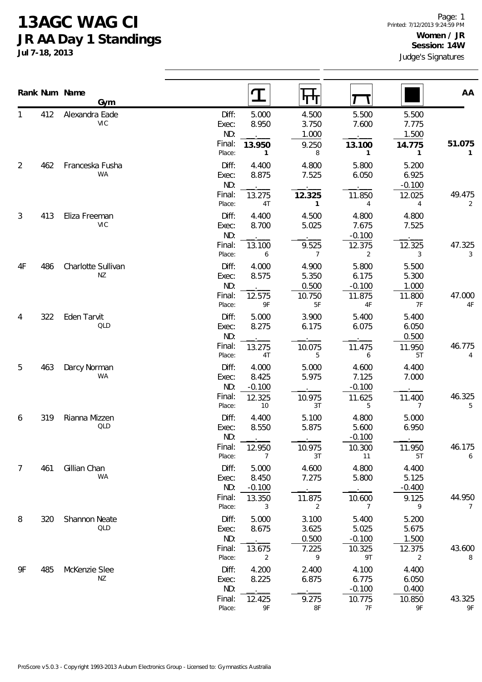## **13AGC WAG CI JR AA Day 1 Standings**

**Jul 7-18, 2013**

|    |     | Rank Num Name<br>Gym            |                       | T                                 | पाण                     |                            |                            | AA                       |  |
|----|-----|---------------------------------|-----------------------|-----------------------------------|-------------------------|----------------------------|----------------------------|--------------------------|--|
|    | 412 | Alexandra Eade<br><b>VIC</b>    | Diff:<br>Exec:<br>ND: | 5.000<br>8.950                    | 4.500<br>3.750<br>1.000 | 5.500<br>7.600             | 5.500<br>7.775<br>1.500    |                          |  |
|    |     |                                 | Final:<br>Place:      | 13.950<br>1                       | 9.250<br>8              | 13.100<br>$\mathbf{1}$     | 14.775<br>1                | 51.075<br>1              |  |
| 2  | 462 | Franceska Fusha<br>WA           | Diff:<br>Exec:<br>ND: | 4.400<br>8.875                    | 4.800<br>7.525          | 5.800<br>6.050             | 5.200<br>6.925<br>$-0.100$ |                          |  |
|    |     |                                 | Final:<br>Place:      | 13.275<br>4 <sub>T</sub>          | 12.325<br>$\mathbf{1}$  | 11.850<br>4                | 12.025<br>4                | 49.475<br>2              |  |
| 3  | 413 | Eliza Freeman<br><b>VIC</b>     | Diff:<br>Exec:<br>ND: | 4.400<br>8.700                    | 4.500<br>5.025          | 4.800<br>7.675<br>$-0.100$ | 4.800<br>7.525             |                          |  |
|    |     |                                 | Final:<br>Place:      | 13.100<br>6                       | 9.525<br>$\overline{7}$ | 12.375<br>2                | 12.325<br>3                | 47.325<br>3              |  |
| 4F | 486 | Charlotte Sullivan<br><b>NZ</b> | Diff:<br>Exec:<br>ND: | 4.000<br>8.575                    | 4.900<br>5.350<br>0.500 | 5.800<br>6.175<br>$-0.100$ | 5.500<br>5.300<br>1.000    |                          |  |
|    |     |                                 | Final:<br>Place:      | 12.575<br>9F                      | 10.750<br>$5F$          | 11.875<br>$4\mathsf{F}$    | 11.800<br>7F               | 47.000<br>4F             |  |
| 4  | 322 | Eden Tarvit<br>QLD              | Diff:<br>Exec:<br>ND: | 5.000<br>8.275                    | 3.900<br>6.175          | 5.400<br>6.075             | 5.400<br>6.050<br>0.500    |                          |  |
|    |     |                                 | Final:<br>Place:      | 13.275<br>4T                      | 10.075<br>5             | 11.475<br>6                | 11.950<br>5T               | 46.775<br>4              |  |
| 5  | 463 | Darcy Norman<br>WA              | Diff:<br>Exec:<br>ND: | 4.000<br>8.425<br>$-0.100$        | 5.000<br>5.975          | 4.600<br>7.125<br>$-0.100$ | 4.400<br>7.000             |                          |  |
|    |     |                                 | Final:<br>Place:      | 12.325<br>$10$                    | 10.975<br>3T            | 11.625<br>5                | 11.400<br>7                | 46.325<br>5              |  |
| 6  | 319 | Rianna Mizzen<br>QLD            | Diff:<br>Exec:<br>ND: | 4.400<br>8.550                    | 5.100<br>5.875          | 4.800<br>5.600<br>$-0.100$ | 5.000<br>6.950             |                          |  |
|    |     |                                 | Final:<br>Place:      | 12.950<br>7                       | 10.975<br>3T            | 10.300<br>11               | 11.950<br>5T               | 46.175<br>6              |  |
| 7  | 461 | Gillian Chan<br><b>WA</b>       | Diff:<br>Exec:<br>ND: | 5.000<br>8.450<br>$-0.100$        | 4.600<br>7.275          | 4.800<br>5.800             | 4.400<br>5.125<br>$-0.400$ |                          |  |
|    |     |                                 | Final:<br>Place:      | 13.350<br>$\overline{\mathbf{3}}$ | 11.875<br>2             | 10.600<br>7                | 9.125<br>9                 | 44.950<br>$\overline{7}$ |  |
| 8  | 320 | Shannon Neate<br>QLD            | Diff:<br>Exec:<br>ND: | 5.000<br>8.675                    | 3.100<br>3.625<br>0.500 | 5.400<br>5.025<br>$-0.100$ | 5.200<br>5.675<br>1.500    | 43.600                   |  |
|    |     |                                 | Final:<br>Place:      | 13.675<br>2                       | 7.225<br>9              | 10.325<br>9T               | 12.375<br>$\overline{2}$   | 8                        |  |
| 9F | 485 | McKenzie Slee<br>ΝZ             | Diff:<br>Exec:<br>ND: | 4.200<br>8.225                    | 2.400<br>6.875          | 4.100<br>6.775<br>$-0.100$ | 4.400<br>6.050<br>0.400    |                          |  |
|    |     |                                 | Final:<br>Place:      | 12.425<br>9F                      | 9.275<br>8F             | 10.775<br>7F               | 10.850<br>9F               | 43.325<br>9F             |  |